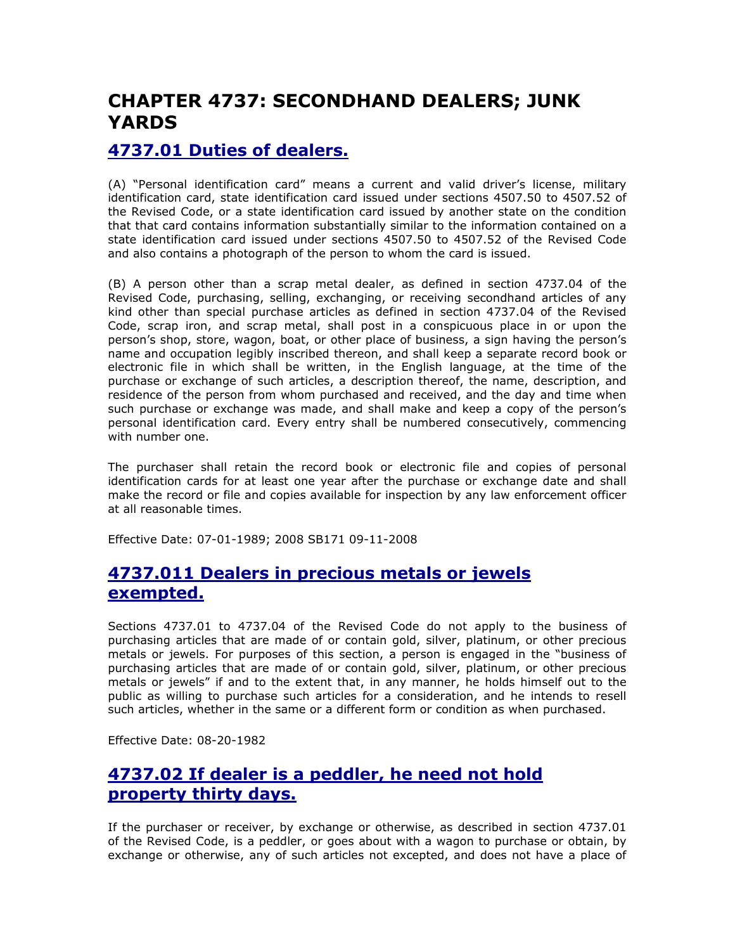# CHAPTER 4737: SECONDHAND DEALERS; JUNK YARDS

# 4737.01 Duties of dealers.

(A) "Personal identification card" means a current and valid driver's license, military identification card, state identification card issued under sections 4507.50 to 4507.52 of the Revised Code, or a state identification card issued by another state on the condition that that card contains information substantially similar to the information contained on a state identification card issued under sections 4507.50 to 4507.52 of the Revised Code and also contains a photograph of the person to whom the card is issued.

(B) A person other than a scrap metal dealer, as defined in section 4737.04 of the Revised Code, purchasing, selling, exchanging, or receiving secondhand articles of any kind other than special purchase articles as defined in section 4737.04 of the Revised Code, scrap iron, and scrap metal, shall post in a conspicuous place in or upon the person's shop, store, wagon, boat, or other place of business, a sign having the person's name and occupation legibly inscribed thereon, and shall keep a separate record book or electronic file in which shall be written, in the English language, at the time of the purchase or exchange of such articles, a description thereof, the name, description, and residence of the person from whom purchased and received, and the day and time when such purchase or exchange was made, and shall make and keep a copy of the person's personal identification card. Every entry shall be numbered consecutively, commencing with number one.

The purchaser shall retain the record book or electronic file and copies of personal identification cards for at least one year after the purchase or exchange date and shall make the record or file and copies available for inspection by any law enforcement officer at all reasonable times.

Effective Date: 07-01-1989; 2008 SB171 09-11-2008

#### 4737.011 Dealers in precious metals or jewels exempted.

Sections 4737.01 to 4737.04 of the Revised Code do not apply to the business of purchasing articles that are made of or contain gold, silver, platinum, or other precious metals or jewels. For purposes of this section, a person is engaged in the "business of purchasing articles that are made of or contain gold, silver, platinum, or other precious metals or jewels" if and to the extent that, in any manner, he holds himself out to the public as willing to purchase such articles for a consideration, and he intends to resell such articles, whether in the same or a different form or condition as when purchased.

Effective Date: 08-20-1982

# 4737.02 If dealer is a peddler, he need not hold property thirty days.

If the purchaser or receiver, by exchange or otherwise, as described in section 4737.01 of the Revised Code, is a peddler, or goes about with a wagon to purchase or obtain, by exchange or otherwise, any of such articles not excepted, and does not have a place of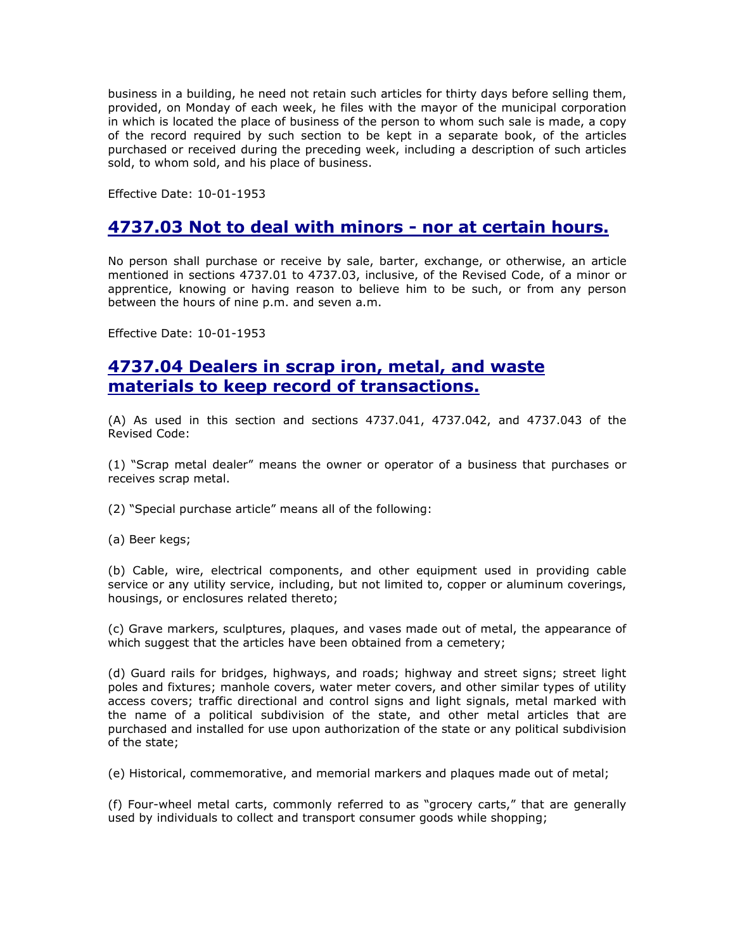business in a building, he need not retain such articles for thirty days before selling them, provided, on Monday of each week, he files with the mayor of the municipal corporation in which is located the place of business of the person to whom such sale is made, a copy of the record required by such section to be kept in a separate book, of the articles purchased or received during the preceding week, including a description of such articles sold, to whom sold, and his place of business.

Effective Date: 10-01-1953

#### 4737.03 Not to deal with minors - nor at certain hours.

No person shall purchase or receive by sale, barter, exchange, or otherwise, an article mentioned in sections 4737.01 to 4737.03, inclusive, of the Revised Code, of a minor or apprentice, knowing or having reason to believe him to be such, or from any person between the hours of nine p.m. and seven a.m.

Effective Date: 10-01-1953

#### 4737.04 Dealers in scrap iron, metal, and waste materials to keep record of transactions.

(A) As used in this section and sections 4737.041, 4737.042, and 4737.043 of the Revised Code:

(1) "Scrap metal dealer" means the owner or operator of a business that purchases or receives scrap metal.

(2) "Special purchase article" means all of the following:

(a) Beer kegs;

(b) Cable, wire, electrical components, and other equipment used in providing cable service or any utility service, including, but not limited to, copper or aluminum coverings, housings, or enclosures related thereto;

(c) Grave markers, sculptures, plaques, and vases made out of metal, the appearance of which suggest that the articles have been obtained from a cemetery;

(d) Guard rails for bridges, highways, and roads; highway and street signs; street light poles and fixtures; manhole covers, water meter covers, and other similar types of utility access covers; traffic directional and control signs and light signals, metal marked with the name of a political subdivision of the state, and other metal articles that are purchased and installed for use upon authorization of the state or any political subdivision of the state;

(e) Historical, commemorative, and memorial markers and plaques made out of metal;

(f) Four-wheel metal carts, commonly referred to as "grocery carts," that are generally used by individuals to collect and transport consumer goods while shopping;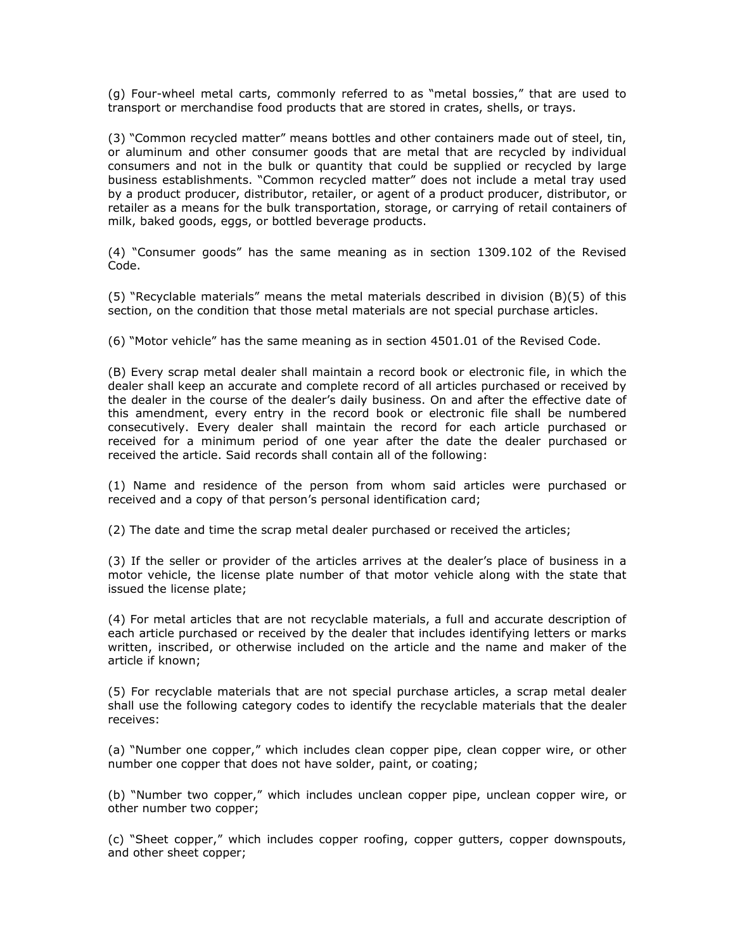(g) Four-wheel metal carts, commonly referred to as "metal bossies," that are used to transport or merchandise food products that are stored in crates, shells, or trays.

(3) "Common recycled matter" means bottles and other containers made out of steel, tin, or aluminum and other consumer goods that are metal that are recycled by individual consumers and not in the bulk or quantity that could be supplied or recycled by large business establishments. "Common recycled matter" does not include a metal tray used by a product producer, distributor, retailer, or agent of a product producer, distributor, or retailer as a means for the bulk transportation, storage, or carrying of retail containers of milk, baked goods, eggs, or bottled beverage products.

(4) "Consumer goods" has the same meaning as in section 1309.102 of the Revised Code.

(5) "Recyclable materials" means the metal materials described in division (B)(5) of this section, on the condition that those metal materials are not special purchase articles.

(6) "Motor vehicle" has the same meaning as in section 4501.01 of the Revised Code.

(B) Every scrap metal dealer shall maintain a record book or electronic file, in which the dealer shall keep an accurate and complete record of all articles purchased or received by the dealer in the course of the dealer's daily business. On and after the effective date of this amendment, every entry in the record book or electronic file shall be numbered consecutively. Every dealer shall maintain the record for each article purchased or received for a minimum period of one year after the date the dealer purchased or received the article. Said records shall contain all of the following:

(1) Name and residence of the person from whom said articles were purchased or received and a copy of that person's personal identification card;

(2) The date and time the scrap metal dealer purchased or received the articles;

(3) If the seller or provider of the articles arrives at the dealer's place of business in a motor vehicle, the license plate number of that motor vehicle along with the state that issued the license plate;

(4) For metal articles that are not recyclable materials, a full and accurate description of each article purchased or received by the dealer that includes identifying letters or marks written, inscribed, or otherwise included on the article and the name and maker of the article if known;

(5) For recyclable materials that are not special purchase articles, a scrap metal dealer shall use the following category codes to identify the recyclable materials that the dealer receives:

(a) "Number one copper," which includes clean copper pipe, clean copper wire, or other number one copper that does not have solder, paint, or coating;

(b) "Number two copper," which includes unclean copper pipe, unclean copper wire, or other number two copper;

(c) "Sheet copper," which includes copper roofing, copper gutters, copper downspouts, and other sheet copper;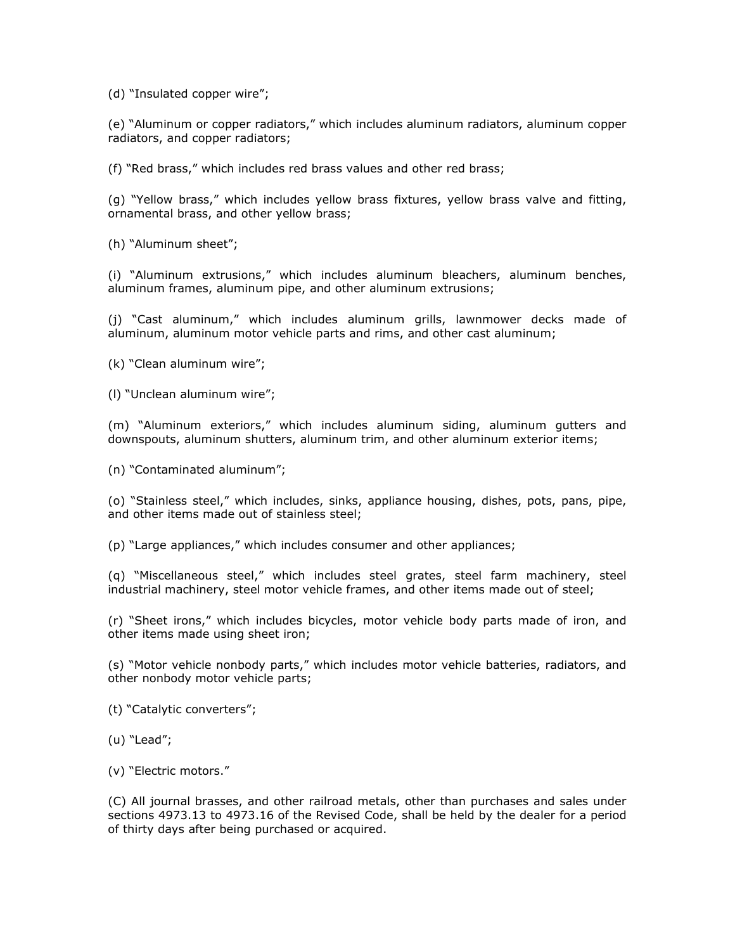(d) "Insulated copper wire";

(e) "Aluminum or copper radiators," which includes aluminum radiators, aluminum copper radiators, and copper radiators;

(f) "Red brass," which includes red brass values and other red brass;

(g) "Yellow brass," which includes yellow brass fixtures, yellow brass valve and fitting, ornamental brass, and other yellow brass;

(h) "Aluminum sheet";

(i) "Aluminum extrusions," which includes aluminum bleachers, aluminum benches, aluminum frames, aluminum pipe, and other aluminum extrusions;

(j) "Cast aluminum," which includes aluminum grills, lawnmower decks made of aluminum, aluminum motor vehicle parts and rims, and other cast aluminum;

(k) "Clean aluminum wire";

(l) "Unclean aluminum wire";

(m) "Aluminum exteriors," which includes aluminum siding, aluminum gutters and downspouts, aluminum shutters, aluminum trim, and other aluminum exterior items;

(n) "Contaminated aluminum";

(o) "Stainless steel," which includes, sinks, appliance housing, dishes, pots, pans, pipe, and other items made out of stainless steel;

(p) "Large appliances," which includes consumer and other appliances;

(q) "Miscellaneous steel," which includes steel grates, steel farm machinery, steel industrial machinery, steel motor vehicle frames, and other items made out of steel;

(r) "Sheet irons," which includes bicycles, motor vehicle body parts made of iron, and other items made using sheet iron;

(s) "Motor vehicle nonbody parts," which includes motor vehicle batteries, radiators, and other nonbody motor vehicle parts;

(t) "Catalytic converters";

(u) "Lead";

(v) "Electric motors."

(C) All journal brasses, and other railroad metals, other than purchases and sales under sections 4973.13 to 4973.16 of the Revised Code, shall be held by the dealer for a period of thirty days after being purchased or acquired.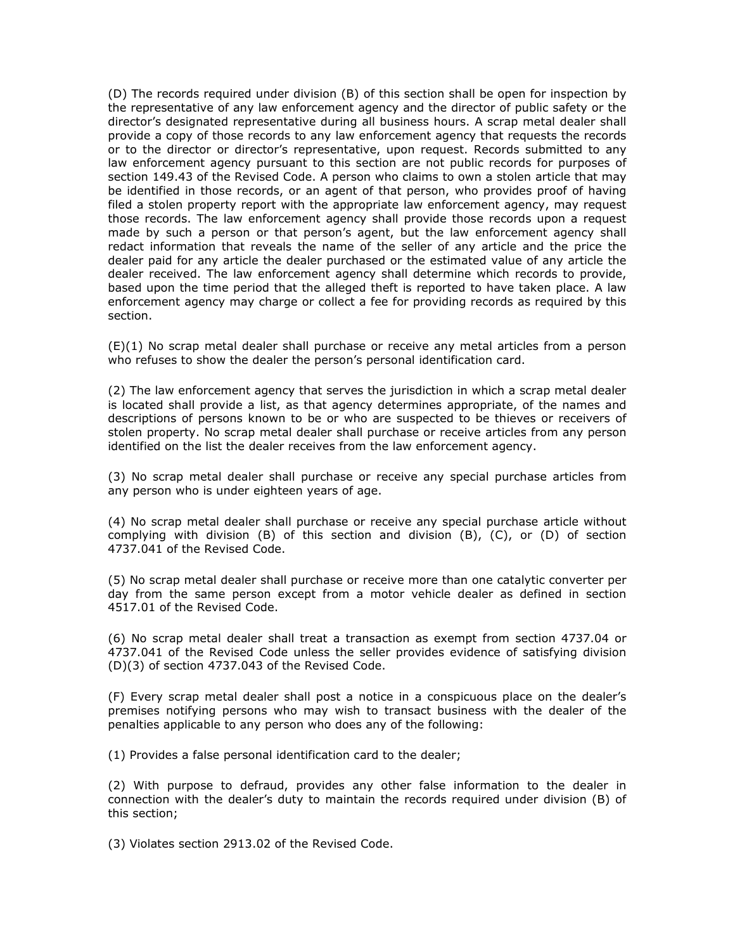(D) The records required under division (B) of this section shall be open for inspection by the representative of any law enforcement agency and the director of public safety or the director's designated representative during all business hours. A scrap metal dealer shall provide a copy of those records to any law enforcement agency that requests the records or to the director or director's representative, upon request. Records submitted to any law enforcement agency pursuant to this section are not public records for purposes of section 149.43 of the Revised Code. A person who claims to own a stolen article that may be identified in those records, or an agent of that person, who provides proof of having filed a stolen property report with the appropriate law enforcement agency, may request those records. The law enforcement agency shall provide those records upon a request made by such a person or that person's agent, but the law enforcement agency shall redact information that reveals the name of the seller of any article and the price the dealer paid for any article the dealer purchased or the estimated value of any article the dealer received. The law enforcement agency shall determine which records to provide, based upon the time period that the alleged theft is reported to have taken place. A law enforcement agency may charge or collect a fee for providing records as required by this section.

(E)(1) No scrap metal dealer shall purchase or receive any metal articles from a person who refuses to show the dealer the person's personal identification card.

(2) The law enforcement agency that serves the jurisdiction in which a scrap metal dealer is located shall provide a list, as that agency determines appropriate, of the names and descriptions of persons known to be or who are suspected to be thieves or receivers of stolen property. No scrap metal dealer shall purchase or receive articles from any person identified on the list the dealer receives from the law enforcement agency.

(3) No scrap metal dealer shall purchase or receive any special purchase articles from any person who is under eighteen years of age.

(4) No scrap metal dealer shall purchase or receive any special purchase article without complying with division (B) of this section and division (B), (C), or (D) of section 4737.041 of the Revised Code.

(5) No scrap metal dealer shall purchase or receive more than one catalytic converter per day from the same person except from a motor vehicle dealer as defined in section 4517.01 of the Revised Code.

(6) No scrap metal dealer shall treat a transaction as exempt from section 4737.04 or 4737.041 of the Revised Code unless the seller provides evidence of satisfying division (D)(3) of section 4737.043 of the Revised Code.

(F) Every scrap metal dealer shall post a notice in a conspicuous place on the dealer's premises notifying persons who may wish to transact business with the dealer of the penalties applicable to any person who does any of the following:

(1) Provides a false personal identification card to the dealer;

(2) With purpose to defraud, provides any other false information to the dealer in connection with the dealer's duty to maintain the records required under division (B) of this section;

(3) Violates section 2913.02 of the Revised Code.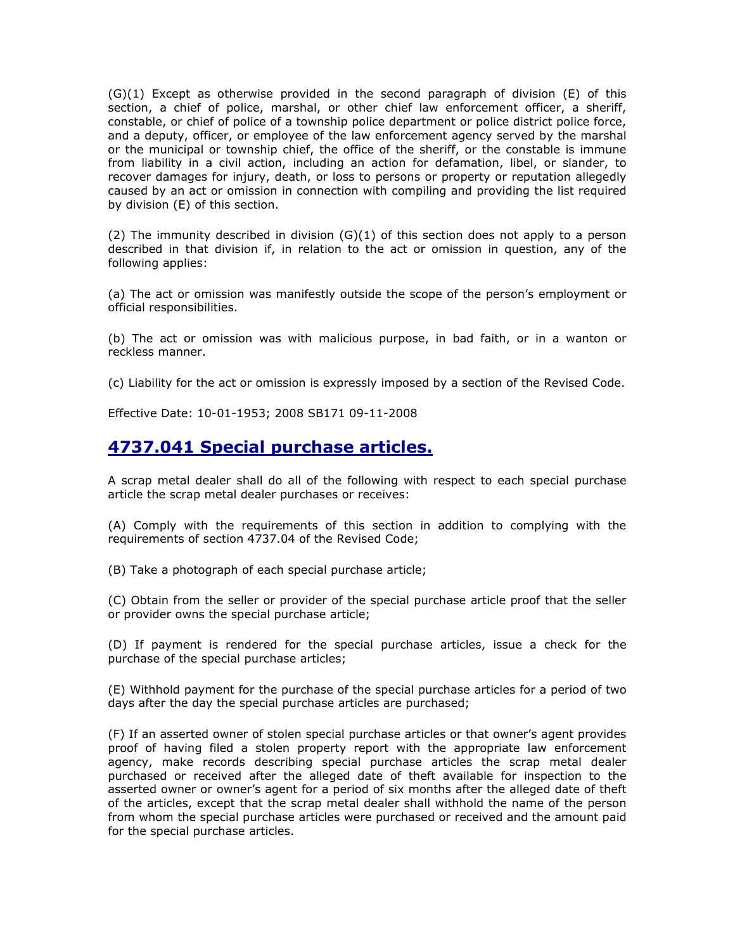(G)(1) Except as otherwise provided in the second paragraph of division (E) of this section, a chief of police, marshal, or other chief law enforcement officer, a sheriff, constable, or chief of police of a township police department or police district police force, and a deputy, officer, or employee of the law enforcement agency served by the marshal or the municipal or township chief, the office of the sheriff, or the constable is immune from liability in a civil action, including an action for defamation, libel, or slander, to recover damages for injury, death, or loss to persons or property or reputation allegedly caused by an act or omission in connection with compiling and providing the list required by division (E) of this section.

(2) The immunity described in division  $(G)(1)$  of this section does not apply to a person described in that division if, in relation to the act or omission in question, any of the following applies:

(a) The act or omission was manifestly outside the scope of the person's employment or official responsibilities.

(b) The act or omission was with malicious purpose, in bad faith, or in a wanton or reckless manner.

(c) Liability for the act or omission is expressly imposed by a section of the Revised Code.

Effective Date: 10-01-1953; 2008 SB171 09-11-2008

#### 4737.041 Special purchase articles.

A scrap metal dealer shall do all of the following with respect to each special purchase article the scrap metal dealer purchases or receives:

(A) Comply with the requirements of this section in addition to complying with the requirements of section 4737.04 of the Revised Code;

(B) Take a photograph of each special purchase article;

(C) Obtain from the seller or provider of the special purchase article proof that the seller or provider owns the special purchase article;

(D) If payment is rendered for the special purchase articles, issue a check for the purchase of the special purchase articles;

(E) Withhold payment for the purchase of the special purchase articles for a period of two days after the day the special purchase articles are purchased;

(F) If an asserted owner of stolen special purchase articles or that owner's agent provides proof of having filed a stolen property report with the appropriate law enforcement agency, make records describing special purchase articles the scrap metal dealer purchased or received after the alleged date of theft available for inspection to the asserted owner or owner's agent for a period of six months after the alleged date of theft of the articles, except that the scrap metal dealer shall withhold the name of the person from whom the special purchase articles were purchased or received and the amount paid for the special purchase articles.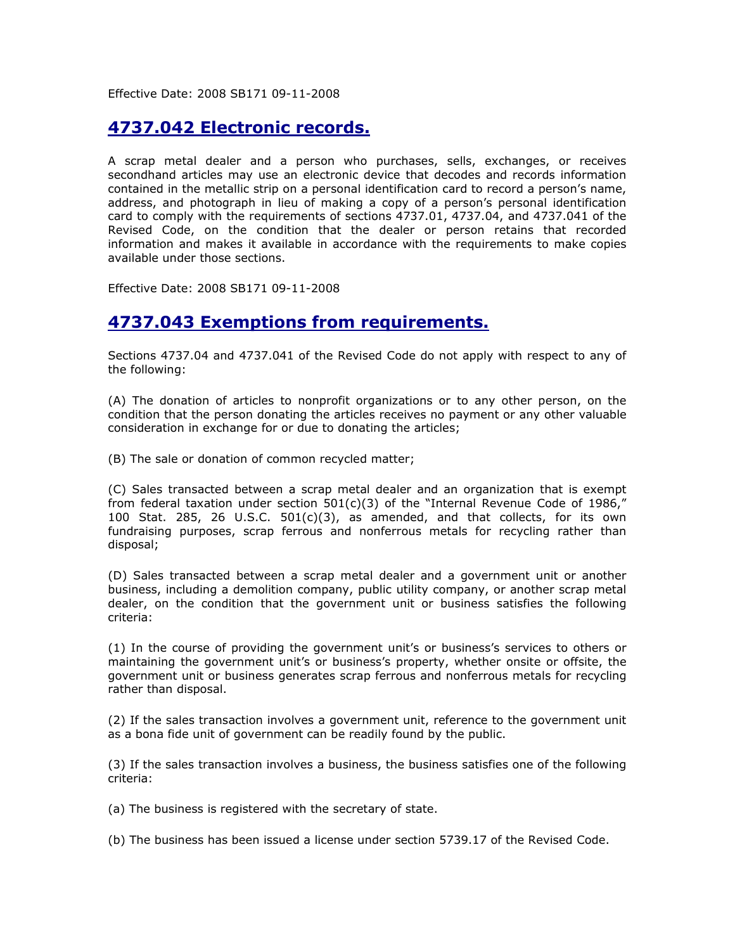Effective Date: 2008 SB171 09-11-2008

# 4737.042 Electronic records.

A scrap metal dealer and a person who purchases, sells, exchanges, or receives secondhand articles may use an electronic device that decodes and records information contained in the metallic strip on a personal identification card to record a person's name, address, and photograph in lieu of making a copy of a person's personal identification card to comply with the requirements of sections 4737.01, 4737.04, and 4737.041 of the Revised Code, on the condition that the dealer or person retains that recorded information and makes it available in accordance with the requirements to make copies available under those sections.

Effective Date: 2008 SB171 09-11-2008

## 4737.043 Exemptions from requirements.

Sections 4737.04 and 4737.041 of the Revised Code do not apply with respect to any of the following:

(A) The donation of articles to nonprofit organizations or to any other person, on the condition that the person donating the articles receives no payment or any other valuable consideration in exchange for or due to donating the articles;

(B) The sale or donation of common recycled matter;

(C) Sales transacted between a scrap metal dealer and an organization that is exempt from federal taxation under section  $501(c)(3)$  of the "Internal Revenue Code of 1986," 100 Stat. 285, 26 U.S.C. 501(c)(3), as amended, and that collects, for its own fundraising purposes, scrap ferrous and nonferrous metals for recycling rather than disposal;

(D) Sales transacted between a scrap metal dealer and a government unit or another business, including a demolition company, public utility company, or another scrap metal dealer, on the condition that the government unit or business satisfies the following criteria:

(1) In the course of providing the government unit's or business's services to others or maintaining the government unit's or business's property, whether onsite or offsite, the government unit or business generates scrap ferrous and nonferrous metals for recycling rather than disposal.

(2) If the sales transaction involves a government unit, reference to the government unit as a bona fide unit of government can be readily found by the public.

(3) If the sales transaction involves a business, the business satisfies one of the following criteria:

(a) The business is registered with the secretary of state.

(b) The business has been issued a license under section 5739.17 of the Revised Code.